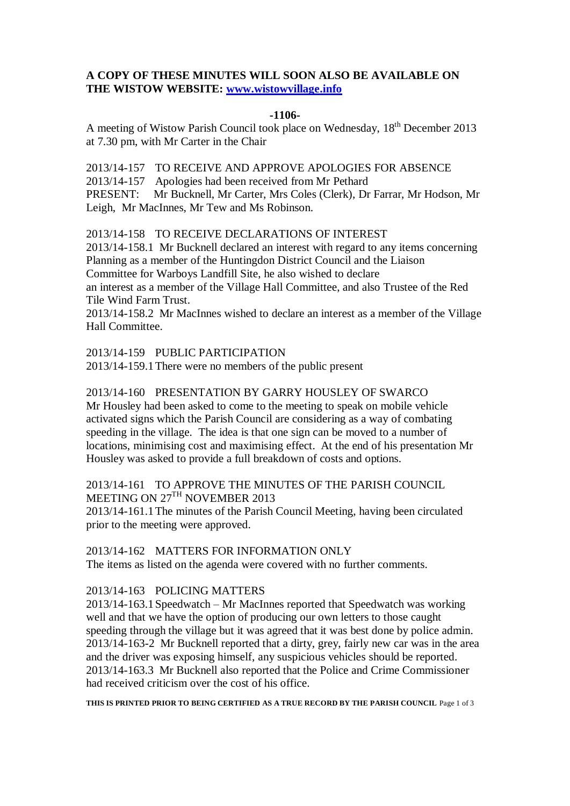# **A COPY OF THESE MINUTES WILL SOON ALSO BE AVAILABLE ON THE WISTOW WEBSITE: [www.wistowvillage.info](http://www.wistowvillage.info/)**

#### **-1106-**

A meeting of Wistow Parish Council took place on Wednesday, 18th December 2013 at 7.30 pm, with Mr Carter in the Chair

2013/14-157 TO RECEIVE AND APPROVE APOLOGIES FOR ABSENCE 2013/14-157 Apologies had been received from Mr Pethard PRESENT: Mr Bucknell, Mr Carter, Mrs Coles (Clerk), Dr Farrar, Mr Hodson, Mr Leigh, Mr MacInnes, Mr Tew and Ms Robinson.

2013/14-158 TO RECEIVE DECLARATIONS OF INTEREST

2013/14-158.1 Mr Bucknell declared an interest with regard to any items concerning Planning as a member of the Huntingdon District Council and the Liaison Committee for Warboys Landfill Site, he also wished to declare an interest as a member of the Village Hall Committee, and also Trustee of the Red

Tile Wind Farm Trust.

2013/14-158.2 Mr MacInnes wished to declare an interest as a member of the Village Hall Committee.

2013/14-159 PUBLIC PARTICIPATION

2013/14-159.1There were no members of the public present

# 2013/14-160 PRESENTATION BY GARRY HOUSLEY OF SWARCO

Mr Housley had been asked to come to the meeting to speak on mobile vehicle activated signs which the Parish Council are considering as a way of combating speeding in the village. The idea is that one sign can be moved to a number of locations, minimising cost and maximising effect. At the end of his presentation Mr Housley was asked to provide a full breakdown of costs and options.

# 2013/14-161 TO APPROVE THE MINUTES OF THE PARISH COUNCIL MEETING ON 27TH NOVEMBER 2013

2013/14-161.1The minutes of the Parish Council Meeting, having been circulated prior to the meeting were approved.

## 2013/14-162 MATTERS FOR INFORMATION ONLY

The items as listed on the agenda were covered with no further comments.

# 2013/14-163 POLICING MATTERS

2013/14-163.1Speedwatch – Mr MacInnes reported that Speedwatch was working well and that we have the option of producing our own letters to those caught speeding through the village but it was agreed that it was best done by police admin. 2013/14-163-2 Mr Bucknell reported that a dirty, grey, fairly new car was in the area and the driver was exposing himself, any suspicious vehicles should be reported. 2013/14-163.3 Mr Bucknell also reported that the Police and Crime Commissioner had received criticism over the cost of his office.

**THIS IS PRINTED PRIOR TO BEING CERTIFIED AS A TRUE RECORD BY THE PARISH COUNCIL** Page 1 of 3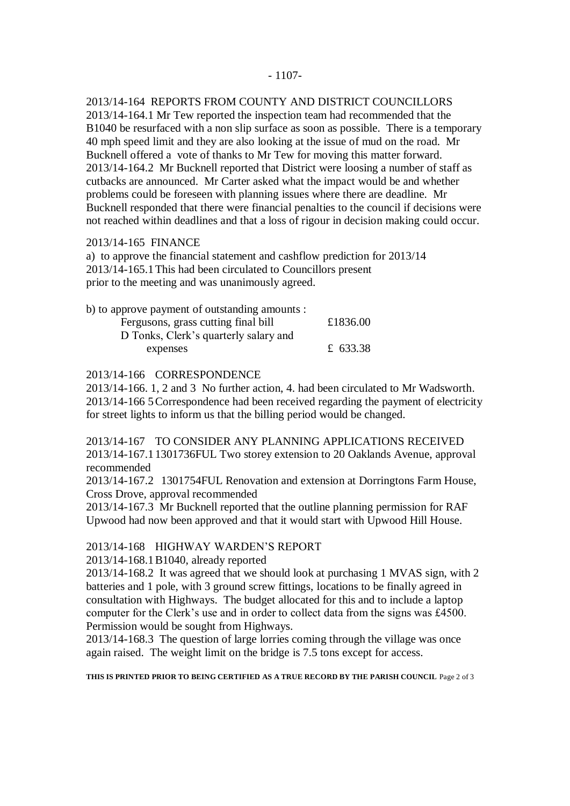#### - 1107-

2013/14-164 REPORTS FROM COUNTY AND DISTRICT COUNCILLORS

2013/14-164.1 Mr Tew reported the inspection team had recommended that the B1040 be resurfaced with a non slip surface as soon as possible. There is a temporary 40 mph speed limit and they are also looking at the issue of mud on the road. Mr Bucknell offered a vote of thanks to Mr Tew for moving this matter forward. 2013/14-164.2 Mr Bucknell reported that District were loosing a number of staff as cutbacks are announced. Mr Carter asked what the impact would be and whether problems could be foreseen with planning issues where there are deadline. Mr Bucknell responded that there were financial penalties to the council if decisions were not reached within deadlines and that a loss of rigour in decision making could occur.

#### 2013/14-165 FINANCE

a) to approve the financial statement and cashflow prediction for 2013/14 2013/14-165.1This had been circulated to Councillors present prior to the meeting and was unanimously agreed.

| b) to approve payment of outstanding amounts : |          |
|------------------------------------------------|----------|
| Fergusons, grass cutting final bill            | £1836.00 |
| D Tonks, Clerk's quarterly salary and          |          |
| expenses                                       | £ 633.38 |

### 2013/14-166 CORRESPONDENCE

2013/14-166. 1, 2 and 3 No further action, 4. had been circulated to Mr Wadsworth. 2013/14-166 5Correspondence had been received regarding the payment of electricity for street lights to inform us that the billing period would be changed.

2013/14-167 TO CONSIDER ANY PLANNING APPLICATIONS RECEIVED 2013/14-167.11301736FUL Two storey extension to 20 Oaklands Avenue, approval recommended

2013/14-167.2 1301754FUL Renovation and extension at Dorringtons Farm House, Cross Drove, approval recommended

2013/14-167.3 Mr Bucknell reported that the outline planning permission for RAF Upwood had now been approved and that it would start with Upwood Hill House.

#### 2013/14-168 HIGHWAY WARDEN'S REPORT

2013/14-168.1B1040, already reported

2013/14-168.2 It was agreed that we should look at purchasing 1 MVAS sign, with 2 batteries and 1 pole, with 3 ground screw fittings, locations to be finally agreed in consultation with Highways. The budget allocated for this and to include a laptop computer for the Clerk's use and in order to collect data from the signs was £4500. Permission would be sought from Highways.

2013/14-168.3 The question of large lorries coming through the village was once again raised. The weight limit on the bridge is 7.5 tons except for access.

**THIS IS PRINTED PRIOR TO BEING CERTIFIED AS A TRUE RECORD BY THE PARISH COUNCIL** Page 2 of 3